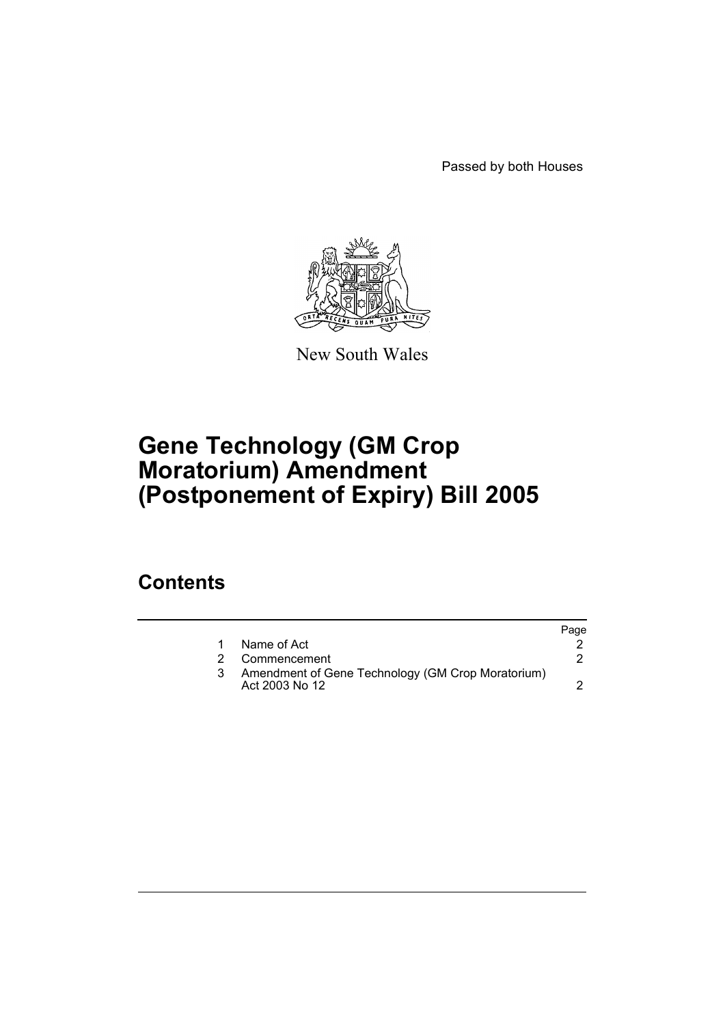Passed by both Houses



New South Wales

# **Gene Technology (GM Crop Moratorium) Amendment (Postponement of Expiry) Bill 2005**

### **Contents**

|                                                                     | Page |
|---------------------------------------------------------------------|------|
| Name of Act                                                         |      |
| Commencement                                                        |      |
| Amendment of Gene Technology (GM Crop Moratorium)<br>Act 2003 No 12 |      |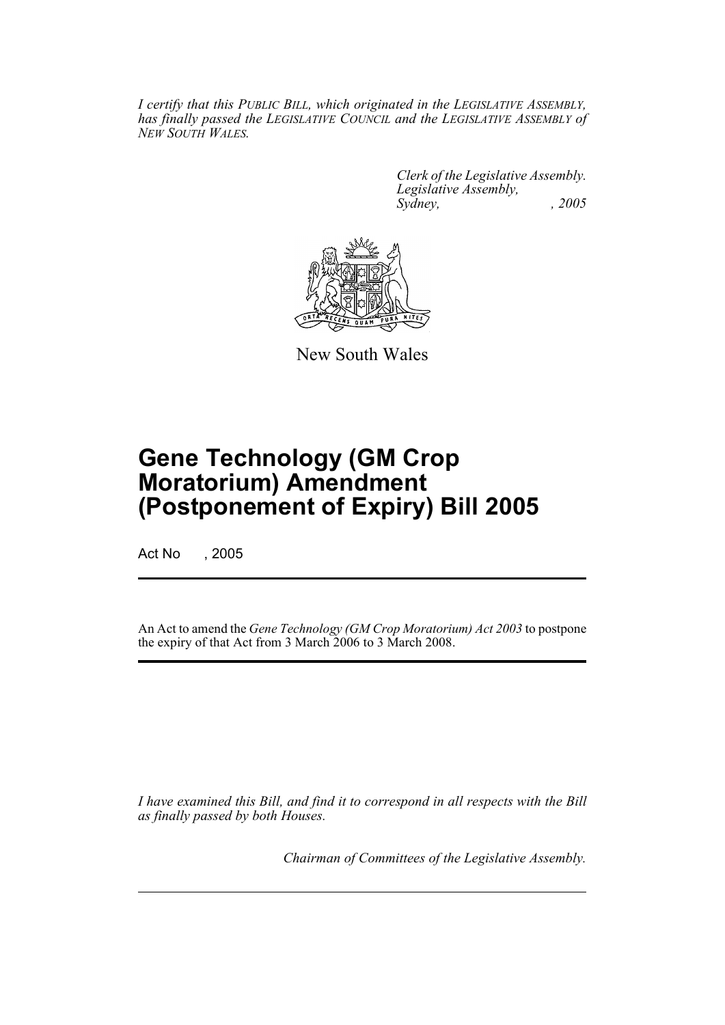*I certify that this PUBLIC BILL, which originated in the LEGISLATIVE ASSEMBLY, has finally passed the LEGISLATIVE COUNCIL and the LEGISLATIVE ASSEMBLY of NEW SOUTH WALES.*

> *Clerk of the Legislative Assembly. Legislative Assembly, Sydney, , 2005*



New South Wales

## **Gene Technology (GM Crop Moratorium) Amendment (Postponement of Expiry) Bill 2005**

Act No , 2005

An Act to amend the *Gene Technology (GM Crop Moratorium) Act 2003* to postpone the expiry of that Act from 3 March 2006 to 3 March 2008.

*I have examined this Bill, and find it to correspond in all respects with the Bill as finally passed by both Houses.*

*Chairman of Committees of the Legislative Assembly.*